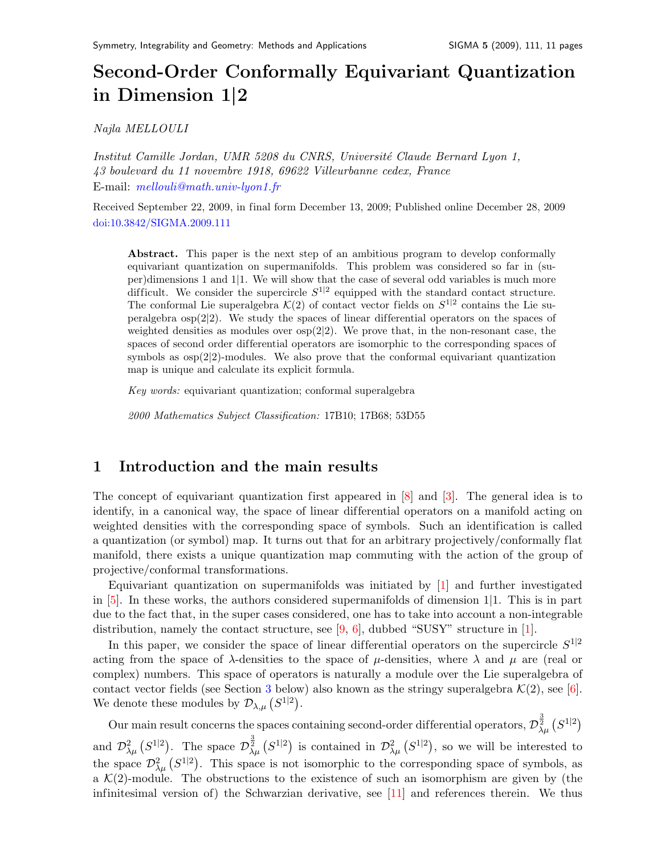# Second-Order Conformally Equivariant Quantization in Dimension 1|2

Najla MELLOULI

Institut Camille Jordan, UMR 5208 du CNRS, Université Claude Bernard Lyon 1, 43 boulevard du 11 novembre 1918, 69622 Villeurbanne cedex, France E-mail: [mellouli@math.univ-lyon1.fr](mailto:mellouli@math.univ-lyon1.fr)

Received September 22, 2009, in final form December 13, 2009; Published online December 28, 2009 [doi:10.3842/SIGMA.2009.111](http://dx.doi.org/10.3842/SIGMA.2009.111)

Abstract. This paper is the next step of an ambitious program to develop conformally equivariant quantization on supermanifolds. This problem was considered so far in (super)dimensions 1 and 1|1. We will show that the case of several odd variables is much more difficult. We consider the supercircle  $S^{1|2}$  equipped with the standard contact structure. The conformal Lie superalgebra  $\mathcal{K}(2)$  of contact vector fields on  $S^{1|2}$  contains the Lie superalgebra  $\exp(2|2)$ . We study the spaces of linear differential operators on the spaces of weighted densities as modules over  $osp(2|2)$ . We prove that, in the non-resonant case, the spaces of second order differential operators are isomorphic to the corresponding spaces of symbols as osp(2|2)-modules. We also prove that the conformal equivariant quantization map is unique and calculate its explicit formula.

Key words: equivariant quantization; conformal superalgebra

2000 Mathematics Subject Classification: 17B10; 17B68; 53D55

## 1 Introduction and the main results

The concept of equivariant quantization first appeared in [\[8\]](#page-10-0) and [\[3\]](#page-9-0). The general idea is to identify, in a canonical way, the space of linear differential operators on a manifold acting on weighted densities with the corresponding space of symbols. Such an identification is called a quantization (or symbol) map. It turns out that for an arbitrary projectively/conformally flat manifold, there exists a unique quantization map commuting with the action of the group of projective/conformal transformations.

Equivariant quantization on supermanifolds was initiated by [\[1\]](#page-9-1) and further investigated in [\[5\]](#page-10-1). In these works, the authors considered supermanifolds of dimension 1|1. This is in part due to the fact that, in the super cases considered, one has to take into account a non-integrable distribution, namely the contact structure, see  $[9, 6]$  $[9, 6]$  $[9, 6]$ , dubbed "SUSY" structure in [\[1\]](#page-9-1).

In this paper, we consider the space of linear differential operators on the supercircle  $S^{1|2}$ acting from the space of  $\lambda$ -densities to the space of  $\mu$ -densities, where  $\lambda$  and  $\mu$  are (real or complex) numbers. This space of operators is naturally a module over the Lie superalgebra of contact vector fields (see Section [3](#page-3-0) below) also known as the stringy superalgebra  $\mathcal{K}(2)$ , see [\[6\]](#page-10-3). We denote these modules by  $\mathcal{D}_{\lambda,\mu}\left(S^{1|2}\right)$ .

Our main result concerns the spaces containing second-order differential operators,  ${\cal D}^{\frac{3}{2}}_{\lambda\mu}\left(S^{1|2}\right)$ and  $\mathcal{D}^2_{\lambda\mu}$  ( $S^{1|2}$ ). The space  $\mathcal{D}^{\frac{3}{2}}_{\lambda\mu}$  ( $S^{1|2}$ ) is contained in  $\mathcal{D}^2_{\lambda\mu}$  ( $S^{1|2}$ ), so we will be interested to the space  $\mathcal{D}^2_{\lambda\mu}$  ( $S^{1|2}$ ). This space is not isomorphic to the corresponding space of symbols, as a  $\mathcal{K}(2)$ -module. The obstructions to the existence of such an isomorphism are given by (the infinitesimal version of) the Schwarzian derivative, see [\[11\]](#page-10-4) and references therein. We thus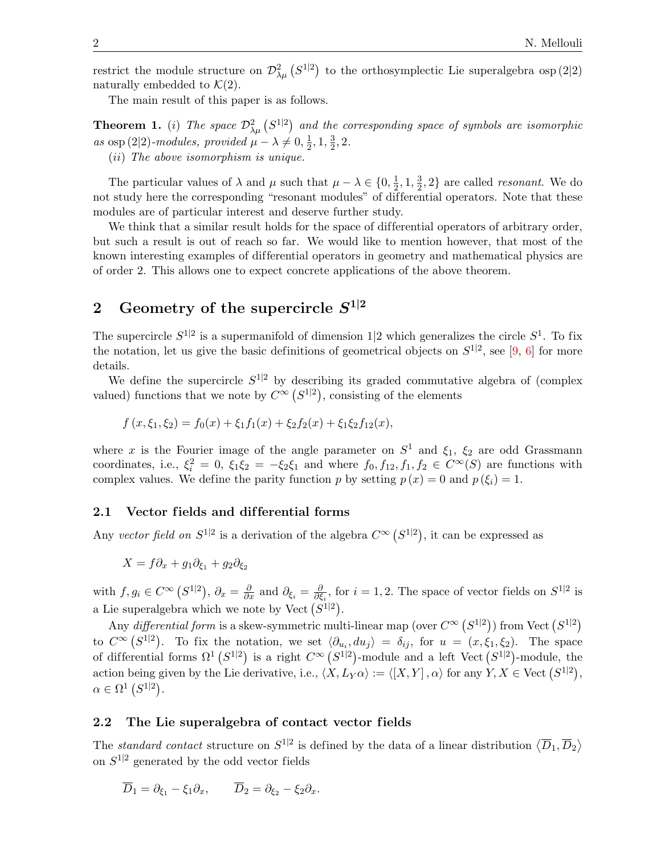restrict the module structure on  $\mathcal{D}^2_{\lambda\mu} (S^{1|2})$  to the orthosymplectic Lie superalgebra osp (2|2) naturally embedded to  $\mathcal{K}(2)$ .

The main result of this paper is as follows.

<span id="page-1-0"></span>**Theorem 1.** (i) The space  $\mathcal{D}^2_{\lambda\mu}$  (S<sup>1|2</sup>) and the corresponding space of symbols are isomorphic as osp (2|2)-modules, provided  $\mu - \lambda \neq 0, \frac{1}{2}$  $\frac{1}{2}$ , 1,  $\frac{3}{2}$  $\frac{3}{2}$ , 2. (ii) The above isomorphism is unique.

The particular values of  $\lambda$  and  $\mu$  such that  $\mu - \lambda \in \{0, \frac{1}{2}\}$  $\frac{1}{2}$ , 1,  $\frac{3}{2}$  $\frac{3}{2}$ , 2} are called *resonant*. We do not study here the corresponding "resonant modules" of dif ferential operators. Note that these modules are of particular interest and deserve further study.

We think that a similar result holds for the space of differential operators of arbitrary order, but such a result is out of reach so far. We would like to mention however, that most of the known interesting examples of differential operators in geometry and mathematical physics are of order 2. This allows one to expect concrete applications of the above theorem.

# 2 Geometry of the supercircle  $S^{1|2}$

The supercircle  $S^{1|2}$  is a supermanifold of dimension 1|2 which generalizes the circle  $S^1$ . To fix the notation, let us give the basic definitions of geometrical objects on  $S^{1|2}$ , see [\[9,](#page-10-2) [6\]](#page-10-3) for more details.

We define the supercircle  $S^{1|2}$  by describing its graded commutative algebra of (complex valued) functions that we note by  $C^{\infty}$   $(S^{1|2})$ , consisting of the elements

$$
f(x,\xi_1,\xi_2) = f_0(x) + \xi_1 f_1(x) + \xi_2 f_2(x) + \xi_1 \xi_2 f_{12}(x),
$$

where x is the Fourier image of the angle parameter on  $S^1$  and  $\xi_1$ ,  $\xi_2$  are odd Grassmann coordinates, i.e.,  $\xi_i^2 = 0$ ,  $\xi_1 \xi_2 = -\xi_2 \xi_1$  and where  $f_0, f_{12}, f_1, f_2 \in C^{\infty}(S)$  are functions with complex values. We define the parity function p by setting  $p(x) = 0$  and  $p(\xi_i) = 1$ .

#### 2.1 Vector fields and differential forms

Any vector field on  $S^{1|2}$  is a derivation of the algebra  $C^{\infty}(S^{1|2})$ , it can be expressed as

$$
X = f\partial_x + g_1\partial_{\xi_1} + g_2\partial_{\xi_2}
$$

with  $f, g_i \in C^{\infty} (S^{1|2}), \partial_x = \frac{\partial}{\partial x}$  and  $\partial_{\xi_i} = \frac{\partial}{\partial \xi_i}$  $\frac{\partial}{\partial \xi_i}$ , for  $i = 1, 2$ . The space of vector fields on  $S^{1|2}$  is a Lie superalgebra which we note by Vect  $(S^{1|2})$ .

Any differential form is a skew-symmetric multi-linear map (over  $C^{\infty}$   $(S^{1|2})$ ) from Vect  $(S^{1|2})$ to  $C^{\infty}(S^{1|2})$ . To fix the notation, we set  $\langle \partial_{u_i}, du_j \rangle = \delta_{ij}$ , for  $u = (x, \xi_1, \xi_2)$ . The space of differential forms  $\Omega^1(S^{1|2})$  is a right  $C^{\infty}(S^{1|2})$ -module and a left Vect  $(S^{1|2})$ -module, the action being given by the Lie derivative, i.e.,  $\langle X, L_Y\alpha \rangle := \langle [X, Y], \alpha \rangle$  for any  $Y, X \in \text{Vect } (S^{1|2}),$  $\alpha \in \Omega^1(S^{1|2}).$ 

#### 2.2 The Lie superalgebra of contact vector fields

The standard contact structure on  $S^{1|2}$  is defined by the data of a linear distribution  $\langle \overline{D}_1, \overline{D}_2 \rangle$ on  $S^{1|2}$  generated by the odd vector fields

$$
\overline{D}_1 = \partial_{\xi_1} - \xi_1 \partial_x, \qquad \overline{D}_2 = \partial_{\xi_2} - \xi_2 \partial_x.
$$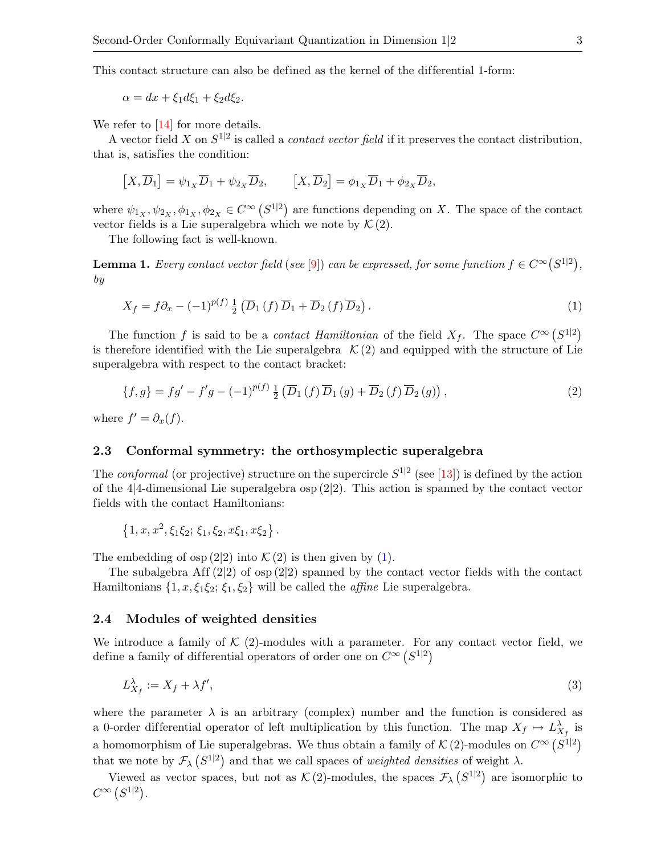This contact structure can also be defined as the kernel of the differential 1-form:

 $\alpha = dx + \xi_1 d\xi_1 + \xi_2 d\xi_2.$ 

We refer to [\[14\]](#page-10-5) for more details.

A vector field X on  $S^{1|2}$  is called a *contact vector field* if it preserves the contact distribution, that is, satisfies the condition:

$$
[X,\overline{D}_1] = \psi_{1X}\overline{D}_1 + \psi_{2X}\overline{D}_2, \qquad [X,\overline{D}_2] = \phi_{1X}\overline{D}_1 + \phi_{2X}\overline{D}_2,
$$

where  $\psi_{1_X}, \psi_{2_X}, \phi_{1_X}, \phi_{2_X} \in C^{\infty} (S^{1|2})$  are functions depending on X. The space of the contact vector fields is a Lie superalgebra which we note by  $\mathcal{K}(2)$ .

The following fact is well-known.

**Lemma 1.** Every contact vector field (see [\[9\]](#page-10-2)) can be expressed, for some function  $f \in C^{\infty}(S^{1|2})$ , by

<span id="page-2-0"></span>
$$
X_f = f\partial_x - (-1)^{p(f)} \frac{1}{2} \left( \overline{D}_1 \left( f \right) \overline{D}_1 + \overline{D}_2 \left( f \right) \overline{D}_2 \right). \tag{1}
$$

The function f is said to be a *contact Hamiltonian* of the field  $X_f$ . The space  $C^{\infty}(S^{1|2})$ is therefore identified with the Lie superalgebra  $K(2)$  and equipped with the structure of Lie superalgebra with respect to the contact bracket:

<span id="page-2-1"></span>
$$
\{f,g\} = fg' - f'g - (-1)^{p(f)} \frac{1}{2} \left( \overline{D}_1(f) \, \overline{D}_1(g) + \overline{D}_2(f) \, \overline{D}_2(g) \right),\tag{2}
$$

where  $f' = \partial_x(f)$ .

### 2.3 Conformal symmetry: the orthosymplectic superalgebra

The *conformal* (or projective) structure on the supercircle  $S^{1|2}$  (see [\[13\]](#page-10-6)) is defined by the action of the 4|4-dimensional Lie superalgebra  $\exp(2|2)$ . This action is spanned by the contact vector fields with the contact Hamiltonians:

$$
\{1, x, x^2, \xi_1\xi_2; \xi_1, \xi_2, x\xi_1, x\xi_2\}.
$$

The embedding of osp  $(2|2)$  into  $\mathcal{K}(2)$  is then given by  $(1)$ .

The subalgebra Aff  $(2|2)$  of osp  $(2|2)$  spanned by the contact vector fields with the contact Hamiltonians  $\{1, x, \xi_1\xi_2; \xi_1, \xi_2\}$  will be called the *affine* Lie superalgebra.

### 2.4 Modules of weighted densities

We introduce a family of  $K(2)$ -modules with a parameter. For any contact vector field, we define a family of differential operators of order one on  $C^{\infty}(S^{1|2})$ 

<span id="page-2-2"></span>
$$
L_{X_f}^{\lambda} := X_f + \lambda f',\tag{3}
$$

where the parameter  $\lambda$  is an arbitrary (complex) number and the function is considered as a 0-order differential operator of left multiplication by this function. The map  $X_f \mapsto L_{X_f}^{\lambda}$  is a homomorphism of Lie superalgebras. We thus obtain a family of  $\mathcal{K}(2)$ -modules on  $C^{\infty}(S^{1|2})$ that we note by  $\mathcal{F}_{\lambda} (S^{1|2})$  and that we call spaces of *weighted densities* of weight  $\lambda$ .

Viewed as vector spaces, but not as  $\mathcal{K}(2)$ -modules, the spaces  $\mathcal{F}_{\lambda}(S^{1|2})$  are isomorphic to  $C^{\infty}$   $(S^{1|2})$ .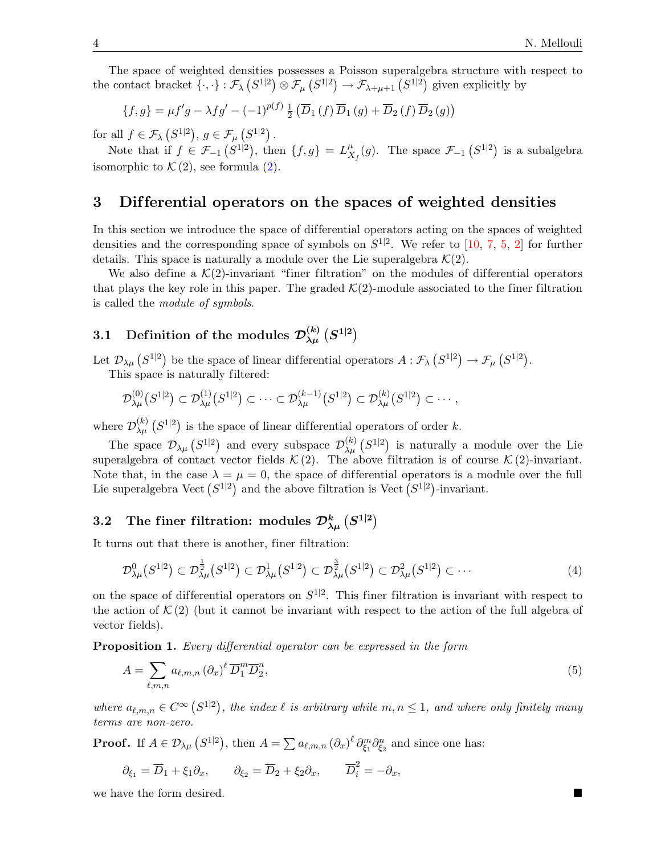The space of weighted densities possesses a Poisson superalgebra structure with respect to the contact bracket  $\{\cdot,\cdot\} : \mathcal{F}_{\lambda} (S^{1|2}) \otimes \mathcal{F}_{\mu} (S^{1|2}) \to \mathcal{F}_{\lambda+\mu+1} (S^{1|2})$  given explicitly by

$$
\{f,g\} = \mu f'g - \lambda fg' - (-1)^{p(f)} \frac{1}{2} \left( \overline{D}_1(f) \overline{D}_1(g) + \overline{D}_2(f) \overline{D}_2(g) \right)
$$

for all  $f \in \mathcal{F}_{\lambda} (S^{1|2}), g \in \mathcal{F}_{\mu} (S^{1|2})$ .

Note that if  $f \in \mathcal{F}_{-1} (S^{1|2})$ , then  $\{f,g\} = L_X^{\mu}$  $_{X_f}^{\mu}(g)$ . The space  $\mathcal{F}_{-1}(S^{1|2})$  is a subalgebra isomorphic to  $\mathcal{K}(2)$  $\mathcal{K}(2)$ , see formula  $(2)$ .

## <span id="page-3-0"></span>3 Dif ferential operators on the spaces of weighted densities

In this section we introduce the space of differential operators acting on the spaces of weighted densities and the corresponding space of symbols on  $S^{1|2}$ . We refer to [\[10,](#page-10-7) [7,](#page-10-8) [5,](#page-10-1) [2\]](#page-9-2) for further details. This space is naturally a module over the Lie superalgebra  $\mathcal{K}(2)$ .

We also define a  $\mathcal{K}(2)$ -invariant "finer filtration" on the modules of differential operators that plays the key role in this paper. The graded  $\mathcal{K}(2)$ -module associated to the finer filtration is called the module of symbols.

# 3.1 Definition of the modules  ${\cal D}_{\lambda\mu}^{(k)} \left(S^{1|2}\right)$

Let  $\mathcal{D}_{\lambda\mu}\left(S^{1|2}\right)$  be the space of linear differential operators  $A:\mathcal{F}_{\lambda}\left(S^{1|2}\right)\to\mathcal{F}_{\mu}\left(S^{1|2}\right)$ .

This space is naturally filtered:

$$
\mathcal{D}_{\lambda\mu}^{(0)}(S^{1|2}) \subset \mathcal{D}_{\lambda\mu}^{(1)}(S^{1|2}) \subset \cdots \subset \mathcal{D}_{\lambda\mu}^{(k-1)}(S^{1|2}) \subset \mathcal{D}_{\lambda\mu}^{(k)}(S^{1|2}) \subset \cdots,
$$

where  $\mathcal{D}_{\lambda\mu}^{(k)}$   $(S^{1|2})$  is the space of linear differential operators of order k.

The space  $\mathcal{D}_{\lambda\mu} (S^{1|2})$  and every subspace  $\mathcal{D}_{\lambda\mu}^{(k)} (S^{1|2})$  is naturally a module over the Lie superalgebra of contact vector fields  $\mathcal{K}(2)$ . The above filtration is of course  $\mathcal{K}(2)$ -invariant. Note that, in the case  $\lambda = \mu = 0$ , the space of differential operators is a module over the full Lie superalgebra Vect  $(S^{1|2})$  and the above filtration is Vect  $(S^{1|2})$ -invariant.

# 3.2 The finer filtration: modules  $\mathcal{D}^k_{\lambda\mu}\left(S^{1|2}\right)$

It turns out that there is another, finer filtration:

$$
\mathcal{D}^0_{\lambda\mu}(S^{1|2}) \subset \mathcal{D}^{\frac{1}{2}}_{\lambda\mu}(S^{1|2}) \subset \mathcal{D}^1_{\lambda\mu}(S^{1|2}) \subset \mathcal{D}^{\frac{3}{2}}_{\lambda\mu}(S^{1|2}) \subset \mathcal{D}^2_{\lambda\mu}(S^{1|2}) \subset \cdots
$$
\n<sup>(4)</sup>

on the space of differential operators on  $S^{1|2}$ . This finer filtration is invariant with respect to the action of  $\mathcal{K}(2)$  (but it cannot be invariant with respect to the action of the full algebra of vector fields).

Proposition 1. Every differential operator can be expressed in the form

$$
A = \sum_{\ell,m,n} a_{\ell,m,n} (\partial_x)^{\ell} \overline{D}_1^m \overline{D}_2^n, \tag{5}
$$

where  $a_{\ell,m,n} \in C^{\infty}$   $(S^{1|2})$ , the index  $\ell$  is arbitrary while  $m, n \leq 1$ , and where only finitely many terms are non-zero.

**Proof.** If  $A \in \mathcal{D}_{\lambda\mu} (S^{1|2})$ , then  $A = \sum a_{\ell,m,n} (\partial_x)^{\ell} \partial_{\xi_1}^{m} \partial_{\xi_2}^{n}$  and since one has:

$$
\partial_{\xi_1} = \overline{D}_1 + \xi_1 \partial_x, \qquad \partial_{\xi_2} = \overline{D}_2 + \xi_2 \partial_x, \qquad \overline{D}_i^2 = -\partial_x,
$$

we have the form desired.

<span id="page-3-2"></span><span id="page-3-1"></span>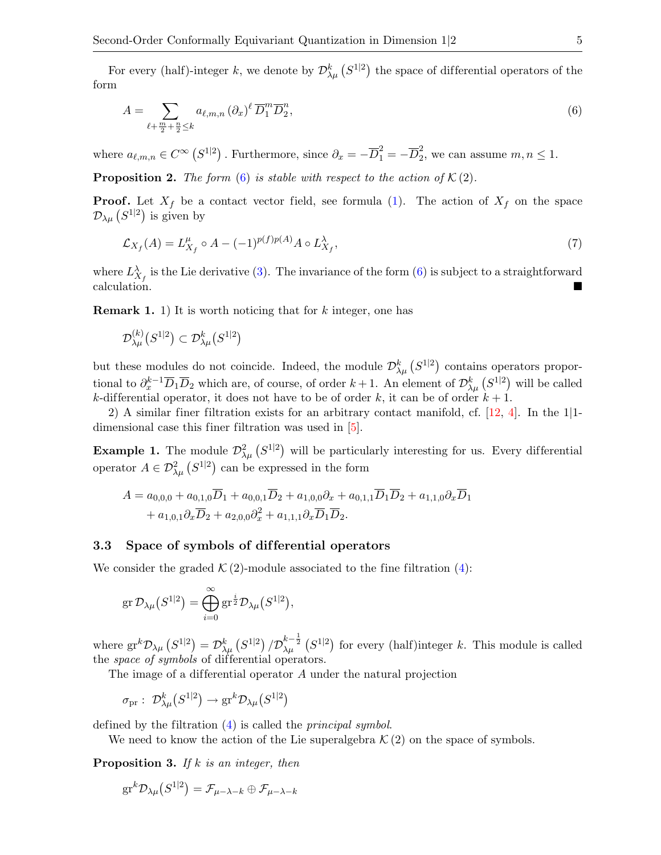For every (half)-integer k, we denote by  $\mathcal{D}_{\lambda\mu}^k(S^{1|2})$  the space of differential operators of the form

<span id="page-4-0"></span>
$$
A = \sum_{\ell + \frac{m}{2} + \frac{n}{2} \le k} a_{\ell,m,n} (\partial_x)^{\ell} \overline{D}_1^m \overline{D}_2^n, \tag{6}
$$

where  $a_{\ell,m,n} \in C^{\infty} (S^{1|2})$ . Furthermore, since  $\partial_x = -\overline{D}_1^2 = -\overline{D}_2^2$  $\frac{2}{2}$ , we can assume  $m, n \leq 1$ .

**Proposition 2.** The form [\(6\)](#page-4-0) is stable with respect to the action of  $K(2)$ .

**Proof.** Let  $X_f$  be a contact vector field, see formula [\(1\)](#page-2-0). The action of  $X_f$  on the space  $\mathcal{D}_{\lambda\mu}\left(S^{1|2}\right)$  is given by

<span id="page-4-1"></span>
$$
\mathcal{L}_{X_f}(A) = L_{X_f}^{\mu} \circ A - (-1)^{p(f)p(A)} A \circ L_{X_f}^{\lambda},\tag{7}
$$

where  $L_{X_f}^{\lambda}$  is the Lie derivative [\(3\)](#page-2-2). The invariance of the form [\(6\)](#page-4-0) is subject to a straightforward calculation.

**Remark 1.** 1) It is worth noticing that for k integer, one has

$$
\mathcal{D}_{\lambda\mu}^{(k)}\big(S^{1|2}\big)\subset\mathcal{D}_{\lambda\mu}^{k}\big(S^{1|2}\big)
$$

but these modules do not coincide. Indeed, the module  $\mathcal{D}_{\lambda\mu}^k(S^{1|2})$  contains operators proportional to  $\partial_x^{k-1} \overline{D}_1 \overline{D}_2$  which are, of course, of order  $k+1$ . An element of  $\mathcal{D}^k_{\lambda\mu} (S^{1|2})$  will be called k-differential operator, it does not have to be of order k, it can be of order  $k + 1$ .

2) A similar finer filtration exists for an arbitrary contact manifold, cf. [\[12,](#page-10-9) [4\]](#page-9-3). In the 1|1 dimensional case this finer filtration was used in [\[5\]](#page-10-1).

**Example 1.** The module  $\mathcal{D}^2_{\lambda\mu}$  ( $S^{1|2}$ ) will be particularly interesting for us. Every differential operator  $A \in \mathcal{D}^2_{\lambda\mu} (S^{1|2})$  can be expressed in the form

$$
A = a_{0,0,0} + a_{0,1,0}\overline{D}_1 + a_{0,0,1}\overline{D}_2 + a_{1,0,0}\partial_x + a_{0,1,1}\overline{D}_1\overline{D}_2 + a_{1,1,0}\partial_x\overline{D}_1 + a_{1,0,1}\partial_x\overline{D}_2 + a_{2,0,0}\partial_x^2 + a_{1,1,1}\partial_x\overline{D}_1\overline{D}_2.
$$

### 3.3 Space of symbols of dif ferential operators

We consider the graded  $\mathcal{K}(2)$ -module associated to the fine filtration [\(4\)](#page-3-1):

$$
\operatorname{gr} \mathcal{D}_{\lambda\mu}\big(S^{1|2}\big) = \bigoplus_{i=0}^{\infty} \operatorname{gr}^{\frac{i}{2}} \mathcal{D}_{\lambda\mu}\big(S^{1|2}\big),
$$

where  $gr^k\mathcal{D}_{\lambda\mu}\left(S^{1|2}\right) = \mathcal{D}^k_{\lambda\mu}\left(S^{1|2}\right) / \mathcal{D}^{k-\frac{1}{2}}_{\lambda\mu}\left(S^{1|2}\right)$  for every (half)integer k. This module is called the *space of symbols* of differential operators.

The image of a differential operator  $A$  under the natural projection

$$
\sigma_{\mathrm{pr}}: \; \mathcal{D}_{\lambda\mu}^k \big( S^{1|2} \big) \to \mathrm{gr}^k \mathcal{D}_{\lambda\mu} \big( S^{1|2} \big)
$$

defined by the filtration [\(4\)](#page-3-1) is called the principal symbol.

We need to know the action of the Lie superalgebra  $\mathcal{K}(2)$  on the space of symbols.

**Proposition 3.** If k is an integer, then

$$
\text{gr}^k\mathcal{D}_{\lambda\mu}\big(S^{1|2}\big)=\mathcal{F}_{\mu-\lambda-k}\oplus\mathcal{F}_{\mu-\lambda-k}
$$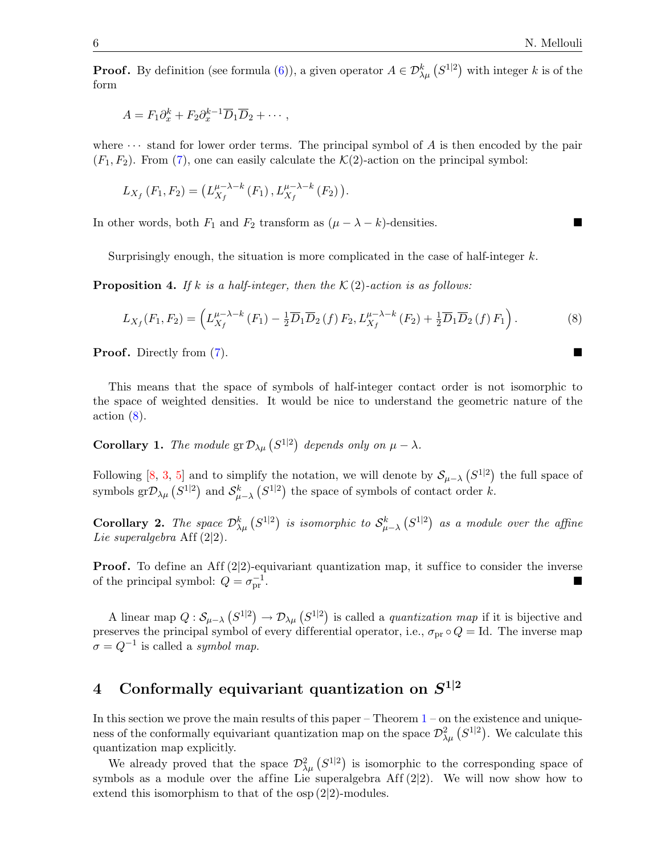**Proof.** By definition (see formula [\(6\)](#page-4-0)), a given operator  $A \in \mathcal{D}_{\lambda\mu}^k(S^{1|2})$  with integer k is of the form

$$
A = F_1 \partial_x^k + F_2 \partial_x^{k-1} \overline{D}_1 \overline{D}_2 + \cdots,
$$

where  $\cdots$  stand for lower order terms. The principal symbol of A is then encoded by the pair  $(F_1, F_2)$ . From [\(7\)](#page-4-1), one can easily calculate the  $\mathcal{K}(2)$ -action on the principal symbol:

$$
L_{X_f}(F_1, F_2) = (L_{X_f}^{\mu - \lambda - k}(F_1), L_{X_f}^{\mu - \lambda - k}(F_2)).
$$

In other words, both  $F_1$  and  $F_2$  transform as  $(\mu - \lambda - k)$ -densities.

Surprisingly enough, the situation is more complicated in the case of half-integer  $k$ .

**Proposition 4.** If k is a half-integer, then the  $\mathcal{K}(2)$ -action is as follows:

$$
L_{X_f}(F_1, F_2) = \left( L_{X_f}^{\mu - \lambda - k}(F_1) - \frac{1}{2} \overline{D}_1 \overline{D}_2(f) F_2, L_{X_f}^{\mu - \lambda - k}(F_2) + \frac{1}{2} \overline{D}_1 \overline{D}_2(f) F_1 \right). \tag{8}
$$

**Proof.** Directly from [\(7\)](#page-4-1).

This means that the space of symbols of half-integer contact order is not isomorphic to the space of weighted densities. It would be nice to understand the geometric nature of the  $\arctan(8)$  $\arctan(8)$ .

**Corollary 1.** The module  $\operatorname{gr} \mathcal{D}_{\lambda\mu}(S^{1|2})$  depends only on  $\mu - \lambda$ .

Following [\[8,](#page-10-0) [3,](#page-9-0) [5\]](#page-10-1) and to simplify the notation, we will denote by  $\mathcal{S}_{\mu-\lambda}(\mathcal{S}^{1|2})$  the full space of symbols gr $\mathcal{D}_{\lambda\mu}$   $(S^{1|2})$  and  $\mathcal{S}_{\mu-\lambda}^k$   $(S^{1|2})$  the space of symbols of contact order k.

**Corollary 2.** The space  $\mathcal{D}_{\lambda\mu}^k(S^{1|2})$  is isomorphic to  $\mathcal{S}_{\mu-\lambda}^k(S^{1|2})$  as a module over the affine Lie superalgebra Aff  $(2|2)$ .

**Proof.** To define an Aff  $(2|2)$ -equivariant quantization map, it suffice to consider the inverse of the principal symbol:  $Q = \sigma_{\text{pr}}^{-1}$  $\frac{-1}{\text{pr}}$ .

A linear map  $Q: \mathcal{S}_{\mu-\lambda} (S^{1|2}) \to \mathcal{D}_{\lambda\mu} (S^{1|2})$  is called a *quantization map* if it is bijective and preserves the principal symbol of every differential operator, i.e.,  $\sigma_{\text{pr}} \circ Q = \text{Id}$ . The inverse map  $\sigma = Q^{-1}$  is called a *symbol map*.

# 4 Conformally equivariant quantization on  $S^{1|2}$

In this section we prove the main results of this paper – Theorem  $1$  – on the existence and uniqueness of the conformally equivariant quantization map on the space  $\mathcal{D}^2_{\lambda\mu}$   $(S^{1|2})$ . We calculate this quantization map explicitly.

We already proved that the space  $\mathcal{D}^2_{\lambda\mu} (S^{1|2})$  is isomorphic to the corresponding space of symbols as a module over the affine Lie superalgebra Aff  $(2|2)$ . We will now show how to extend this isomorphism to that of the osp (2|2)-modules.

<span id="page-5-0"></span>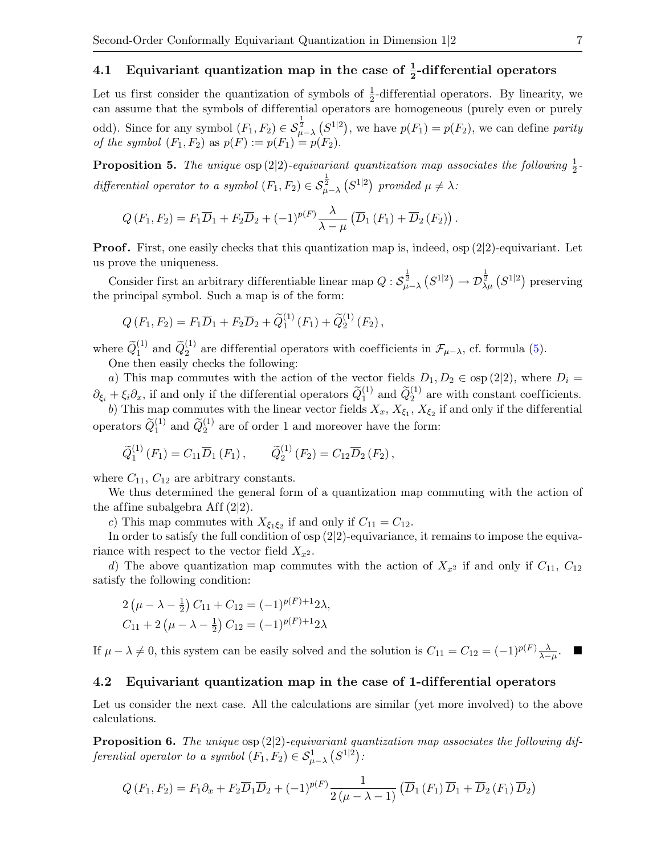# 4.1 Equivariant quantization map in the case of  $\frac{1}{2}$ -differential operators

Let us first consider the quantization of symbols of  $\frac{1}{2}$ -differential operators. By linearity, we can assume that the symbols of differential operators are homogeneous (purely even or purely odd). Since for any symbol  $(F_1, F_2) \in S^{\frac{1}{2}}_{\mu-\lambda} (S^{1|2})$ , we have  $p(F_1) = p(F_2)$ , we can define parity of the symbol  $(F_1, F_2)$  as  $p(F) := p(F_1) = p(F_2)$ .

**Proposition 5.** The unique  $\exp(2|2)$ -equivariant quantization map associates the following  $\frac{1}{2}$ differential operator to a symbol  $(F_1, F_2) \in S^{\frac{1}{2}}_{\mu-\lambda} (S^{1|2})$  provided  $\mu \neq \lambda$ :

$$
Q(F_1,F_2)=F_1\overline{D}_1+F_2\overline{D}_2+(-1)^{p(F)}\frac{\lambda}{\lambda-\mu}\left(\overline{D}_1\left(F_1\right)+\overline{D}_2\left(F_2\right)\right).
$$

**Proof.** First, one easily checks that this quantization map is, indeed,  $\exp(2|2)$ -equivariant. Let us prove the uniqueness.

Consider first an arbitrary differentiable linear map  $Q: \mathcal{S}_{\mu-\lambda}^{\frac{1}{2}}(S^{1|2}) \to \mathcal{D}_{\lambda\mu}^{\frac{1}{2}}(S^{1|2})$  preserving the principal symbol. Such a map is of the form:

$$
Q(F_1, F_2) = F_1 \overline{D}_1 + F_2 \overline{D}_2 + \widetilde{Q}_1^{(1)}(F_1) + \widetilde{Q}_2^{(1)}(F_2),
$$

where  $\widetilde{Q}_1^{(1)}$  and  $\widetilde{Q}_2^{(1)}$  are differential operators with coefficients in  $\mathcal{F}_{\mu-\lambda}$ , cf. formula [\(5\)](#page-3-2). One then easily checks the following:

a) This map commutes with the action of the vector fields  $D_1, D_2 \in \text{osp}(2|2)$ , where  $D_i =$  $\partial_{\xi_i} + \xi_i \partial_x$ , if and only if the differential operators  $\widetilde{Q}_1^{(1)}$  and  $\widetilde{Q}_2^{(1)}$  are with constant coefficients.

b) This map commutes with the linear vector fields  $X_x$ ,  $X_{\xi_1}$ ,  $X_{\xi_2}$  if and only if the differential operators  $\widetilde{Q}_1^{(1)}$  and  $\widetilde{Q}_2^{(1)}$  are of order 1 and moreover have the form:

$$
\widetilde{Q}_1^{(1)}(F_1) = C_{11} \overline{D}_1(F_1), \qquad \widetilde{Q}_2^{(1)}(F_2) = C_{12} \overline{D}_2(F_2),
$$

where  $C_{11}$ ,  $C_{12}$  are arbitrary constants.

We thus determined the general form of a quantization map commuting with the action of the affine subalgebra Aff  $(2|2)$ .

c) This map commutes with  $X_{\xi_1\xi_2}$  if and only if  $C_{11} = C_{12}$ .

In order to satisfy the full condition of osp  $(2|2)$ -equivariance, it remains to impose the equivariance with respect to the vector field  $X_{x^2}$ .

d) The above quantization map commutes with the action of  $X_{x^2}$  if and only if  $C_{11}$ ,  $C_{12}$ satisfy the following condition:

$$
2(\mu - \lambda - \frac{1}{2}) C_{11} + C_{12} = (-1)^{p(F)+1} 2\lambda,
$$
  
\n
$$
C_{11} + 2(\mu - \lambda - \frac{1}{2}) C_{12} = (-1)^{p(F)+1} 2\lambda
$$

If  $\mu - \lambda \neq 0$ , this system can be easily solved and the solution is  $C_{11} = C_{12} = (-1)^{p(F)} \frac{\lambda}{\lambda - \mu}$ .

#### 4.2 Equivariant quantization map in the case of 1-dif ferential operators

Let us consider the next case. All the calculations are similar (yet more involved) to the above calculations.

<span id="page-6-0"></span>**Proposition 6.** The unique  $\exp(2|2)$ -equivariant quantization map associates the following differential operator to a symbol  $(F_1, F_2) \in S^1_{\mu-\lambda} (S^{1|2})$ :

$$
Q(F_1, F_2) = F_1 \partial_x + F_2 \overline{D}_1 \overline{D}_2 + (-1)^{p(F)} \frac{1}{2(\mu - \lambda - 1)} \left( \overline{D}_1 \left( F_1 \right) \overline{D}_1 + \overline{D}_2 \left( F_1 \right) \overline{D}_2 \right)
$$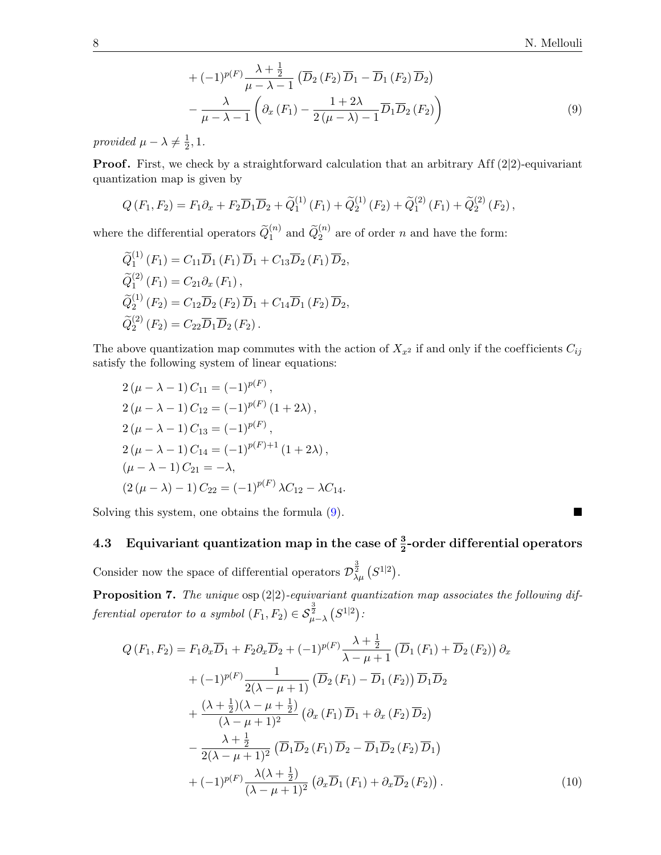<span id="page-7-0"></span>
$$
+ (-1)^{p(F)} \frac{\lambda + \frac{1}{2}}{\mu - \lambda - 1} \left( \overline{D}_2 \left( F_2 \right) \overline{D}_1 - \overline{D}_1 \left( F_2 \right) \overline{D}_2 \right) - \frac{\lambda}{\mu - \lambda - 1} \left( \partial_x \left( F_1 \right) - \frac{1 + 2\lambda}{2(\mu - \lambda) - 1} \overline{D}_1 \overline{D}_2 \left( F_2 \right) \right)
$$
(9)

provided  $\mu - \lambda \neq \frac{1}{2}$  $\frac{1}{2}$ , 1.

**Proof.** First, we check by a straightforward calculation that an arbitrary Aff  $(2|2)$ -equivariant quantization map is given by

$$
Q(F_1, F_2) = F_1 \partial_x + F_2 \overline{D}_1 \overline{D}_2 + \widetilde{Q}_1^{(1)}(F_1) + \widetilde{Q}_2^{(1)}(F_2) + \widetilde{Q}_1^{(2)}(F_1) + \widetilde{Q}_2^{(2)}(F_2),
$$

where the differential operators  $\widetilde{Q}_1^{(n)}$  and  $\widetilde{Q}_2^{(n)}$  are of order n and have the form:

$$
\widetilde{Q}_{1}^{(1)}(F_{1}) = C_{11}\overline{D}_{1}(F_{1})\overline{D}_{1} + C_{13}\overline{D}_{2}(F_{1})\overline{D}_{2},
$$
  
\n
$$
\widetilde{Q}_{1}^{(2)}(F_{1}) = C_{21}\partial_{x}(F_{1}),
$$
  
\n
$$
\widetilde{Q}_{2}^{(1)}(F_{2}) = C_{12}\overline{D}_{2}(F_{2})\overline{D}_{1} + C_{14}\overline{D}_{1}(F_{2})\overline{D}_{2},
$$
  
\n
$$
\widetilde{Q}_{2}^{(2)}(F_{2}) = C_{22}\overline{D}_{1}\overline{D}_{2}(F_{2}).
$$

The above quantization map commutes with the action of  $X_{x^2}$  if and only if the coefficients  $C_{ij}$ satisfy the following system of linear equations:

$$
2(\mu - \lambda - 1) C_{11} = (-1)^{p(F)},
$$
  
\n
$$
2(\mu - \lambda - 1) C_{12} = (-1)^{p(F)} (1 + 2\lambda),
$$
  
\n
$$
2(\mu - \lambda - 1) C_{13} = (-1)^{p(F)},
$$
  
\n
$$
2(\mu - \lambda - 1) C_{14} = (-1)^{p(F)+1} (1 + 2\lambda),
$$
  
\n
$$
(\mu - \lambda - 1) C_{21} = -\lambda,
$$
  
\n
$$
(2(\mu - \lambda) - 1) C_{22} = (-1)^{p(F)} \lambda C_{12} - \lambda C_{14}.
$$

Solving this system, one obtains the formula  $(9)$ .

# 4.3 Equivariant quantization map in the case of  $\frac{3}{2}$ -order differential operators

Consider now the space of differential operators  $\mathcal{D}_{\lambda\mu}^{\frac{3}{2}}(S^{1|2})$ .

**Proposition 7.** The unique  $\exp(2|2)$ -equivariant quantization map associates the following differential operator to a symbol  $(F_1, F_2) \in \mathcal{S}_{\mu-\lambda}^{\frac{3}{2}}(S^{1|2})$ :

<span id="page-7-1"></span>
$$
Q(F_1, F_2) = F_1 \partial_x \overline{D}_1 + F_2 \partial_x \overline{D}_2 + (-1)^{p(F)} \frac{\lambda + \frac{1}{2}}{\lambda - \mu + 1} \left( \overline{D}_1 \left( F_1 \right) + \overline{D}_2 \left( F_2 \right) \right) \partial_x + (-1)^{p(F)} \frac{1}{2(\lambda - \mu + 1)} \left( \overline{D}_2 \left( F_1 \right) - \overline{D}_1 \left( F_2 \right) \right) \overline{D}_1 \overline{D}_2 + \frac{(\lambda + \frac{1}{2})(\lambda - \mu + \frac{1}{2})}{(\lambda - \mu + 1)^2} \left( \partial_x \left( F_1 \right) \overline{D}_1 + \partial_x \left( F_2 \right) \overline{D}_2 \right) - \frac{\lambda + \frac{1}{2}}{2(\lambda - \mu + 1)^2} \left( \overline{D}_1 \overline{D}_2 \left( F_1 \right) \overline{D}_2 - \overline{D}_1 \overline{D}_2 \left( F_2 \right) \overline{D}_1 \right) + (-1)^{p(F)} \frac{\lambda(\lambda + \frac{1}{2})}{(\lambda - \mu + 1)^2} \left( \partial_x \overline{D}_1 \left( F_1 \right) + \partial_x \overline{D}_2 \left( F_2 \right) \right).
$$
 (10)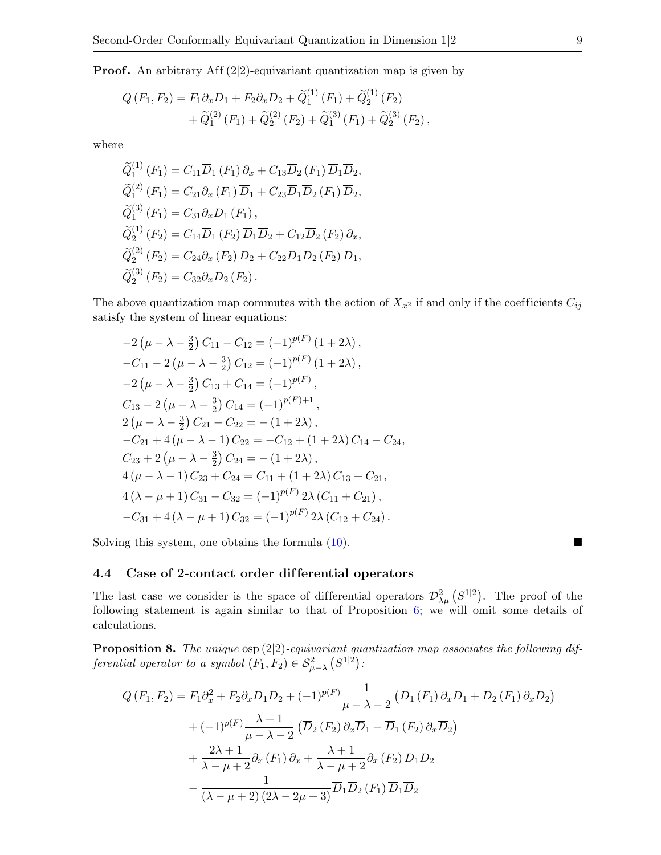**Proof.** An arbitrary Aff  $(2|2)$ -equivariant quantization map is given by

$$
Q(F_1, F_2) = F_1 \partial_x \overline{D}_1 + F_2 \partial_x \overline{D}_2 + \widetilde{Q}_1^{(1)}(F_1) + \widetilde{Q}_2^{(1)}(F_2) + \widetilde{Q}_1^{(2)}(F_1) + \widetilde{Q}_2^{(2)}(F_2) + \widetilde{Q}_1^{(3)}(F_1) + \widetilde{Q}_2^{(3)}(F_2),
$$

where

$$
\begin{aligned}\n\widetilde{Q}_{1}^{(1)}(F_{1}) &= C_{11}\overline{D}_{1}(F_{1})\partial_{x} + C_{13}\overline{D}_{2}(F_{1})\overline{D}_{1}\overline{D}_{2}, \\
\widetilde{Q}_{1}^{(2)}(F_{1}) &= C_{21}\partial_{x}(F_{1})\overline{D}_{1} + C_{23}\overline{D}_{1}\overline{D}_{2}(F_{1})\overline{D}_{2}, \\
\widetilde{Q}_{1}^{(3)}(F_{1}) &= C_{31}\partial_{x}\overline{D}_{1}(F_{1}), \\
\widetilde{Q}_{2}^{(1)}(F_{2}) &= C_{14}\overline{D}_{1}(F_{2})\overline{D}_{1}\overline{D}_{2} + C_{12}\overline{D}_{2}(F_{2})\partial_{x}, \\
\widetilde{Q}_{2}^{(2)}(F_{2}) &= C_{24}\partial_{x}(F_{2})\overline{D}_{2} + C_{22}\overline{D}_{1}\overline{D}_{2}(F_{2})\overline{D}_{1}, \\
\widetilde{Q}_{2}^{(3)}(F_{2}) &= C_{32}\partial_{x}\overline{D}_{2}(F_{2}).\n\end{aligned}
$$

The above quantization map commutes with the action of  $X_{x^2}$  if and only if the coefficients  $C_{ij}$ satisfy the system of linear equations:

$$
-2(\mu - \lambda - \frac{3}{2}) C_{11} - C_{12} = (-1)^{p(F)} (1 + 2\lambda),
$$
  
\n
$$
-C_{11} - 2(\mu - \lambda - \frac{3}{2}) C_{12} = (-1)^{p(F)} (1 + 2\lambda),
$$
  
\n
$$
-2(\mu - \lambda - \frac{3}{2}) C_{13} + C_{14} = (-1)^{p(F)},
$$
  
\n
$$
C_{13} - 2(\mu - \lambda - \frac{3}{2}) C_{14} = (-1)^{p(F)+1},
$$
  
\n
$$
2(\mu - \lambda - \frac{3}{2}) C_{21} - C_{22} = -(1 + 2\lambda),
$$
  
\n
$$
-C_{21} + 4(\mu - \lambda - 1) C_{22} = -C_{12} + (1 + 2\lambda) C_{14} - C_{24},
$$
  
\n
$$
C_{23} + 2(\mu - \lambda - \frac{3}{2}) C_{24} = -(1 + 2\lambda),
$$
  
\n
$$
4(\mu - \lambda - 1) C_{23} + C_{24} = C_{11} + (1 + 2\lambda) C_{13} + C_{21},
$$
  
\n
$$
4(\lambda - \mu + 1) C_{31} - C_{32} = (-1)^{p(F)} 2\lambda (C_{11} + C_{21}),
$$
  
\n
$$
-C_{31} + 4(\lambda - \mu + 1) C_{32} = (-1)^{p(F)} 2\lambda (C_{12} + C_{24}).
$$

Solving this system, one obtains the formula  $(10)$ .

### 4.4 Case of 2-contact order dif ferential operators

The last case we consider is the space of differential operators  $\mathcal{D}^2_{\lambda\mu}$   $(S^{1|2})$ . The proof of the following statement is again similar to that of Proposition [6;](#page-6-0) we will omit some details of calculations.

**Proposition 8.** The unique  $\exp(2|2)$ -equivariant quantization map associates the following differential operator to a symbol  $(F_1, F_2) \in S^2_{\mu-\lambda} (S^{1|2})$ :

$$
Q(F_1, F_2) = F_1 \partial_x^2 + F_2 \partial_x \overline{D}_1 \overline{D}_2 + (-1)^{p(F)} \frac{1}{\mu - \lambda - 2} \left( \overline{D}_1 \left( F_1 \right) \partial_x \overline{D}_1 + \overline{D}_2 \left( F_1 \right) \partial_x \overline{D}_2 \right)
$$
  
+ 
$$
(-1)^{p(F)} \frac{\lambda + 1}{\mu - \lambda - 2} \left( \overline{D}_2 \left( F_2 \right) \partial_x \overline{D}_1 - \overline{D}_1 \left( F_2 \right) \partial_x \overline{D}_2 \right)
$$
  
+ 
$$
\frac{2\lambda + 1}{\lambda - \mu + 2} \partial_x \left( F_1 \right) \partial_x + \frac{\lambda + 1}{\lambda - \mu + 2} \partial_x \left( F_2 \right) \overline{D}_1 \overline{D}_2
$$
  
- 
$$
\frac{1}{(\lambda - \mu + 2) (2\lambda - 2\mu + 3)} \overline{D}_1 \overline{D}_2 \left( F_1 \right) \overline{D}_1 \overline{D}_2
$$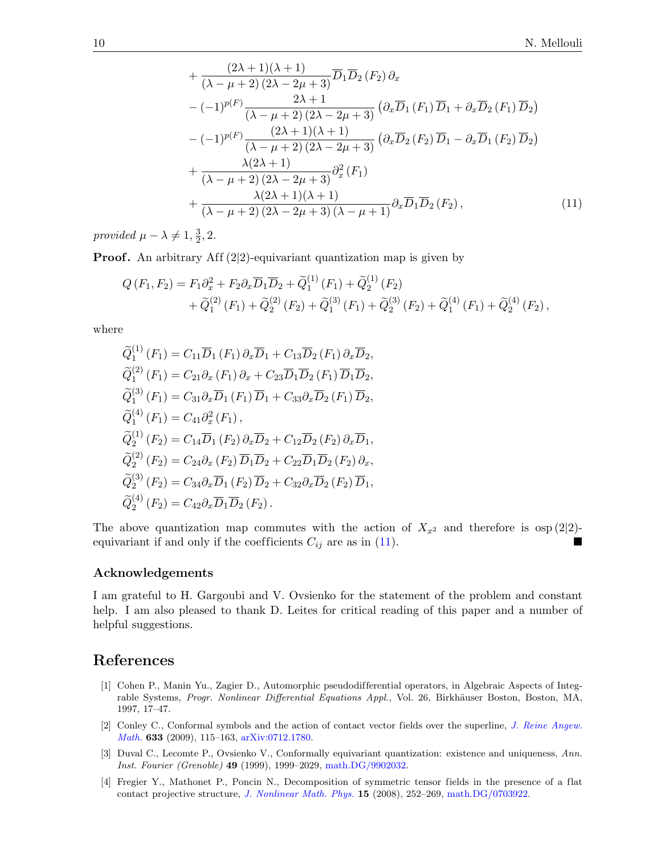<span id="page-9-4"></span>
$$
+\frac{(2\lambda+1)(\lambda+1)}{(\lambda-\mu+2)(2\lambda-2\mu+3)}\overline{D}_1\overline{D}_2(F_2)\partial_x
$$
  
 
$$
-(-1)^{p(F)}\frac{2\lambda+1}{(\lambda-\mu+2)(2\lambda-2\mu+3)}\left(\partial_x\overline{D}_1(F_1)\overline{D}_1+\partial_x\overline{D}_2(F_1)\overline{D}_2\right)
$$
  
 
$$
-(-1)^{p(F)}\frac{(2\lambda+1)(\lambda+1)}{(\lambda-\mu+2)(2\lambda-2\mu+3)}\left(\partial_x\overline{D}_2(F_2)\overline{D}_1-\partial_x\overline{D}_1(F_2)\overline{D}_2\right)
$$
  
 
$$
+\frac{\lambda(2\lambda+1)}{(\lambda-\mu+2)(2\lambda-2\mu+3)}\partial_x^2(F_1)
$$
  
 
$$
+\frac{\lambda(2\lambda+1)(\lambda+1)}{(\lambda-\mu+2)(2\lambda-2\mu+3)}\partial_x\overline{D}_1\overline{D}_2(F_2), \qquad (11)
$$

provided  $\mu - \lambda \neq 1, \frac{3}{2}$  $\frac{3}{2}$ , 2.

**Proof.** An arbitrary Aff  $(2|2)$ -equivariant quantization map is given by

$$
Q(F_1, F_2) = F_1 \partial_x^2 + F_2 \partial_x \overline{D}_1 \overline{D}_2 + \widetilde{Q}_1^{(1)}(F_1) + \widetilde{Q}_2^{(1)}(F_2) + \widetilde{Q}_1^{(2)}(F_1) + \widetilde{Q}_2^{(2)}(F_2) + \widetilde{Q}_1^{(3)}(F_1) + \widetilde{Q}_2^{(3)}(F_2) + \widetilde{Q}_1^{(4)}(F_1) + \widetilde{Q}_2^{(4)}(F_2),
$$

where

$$
\widetilde{Q}_{1}^{(1)}(F_{1}) = C_{11}\overline{D}_{1}(F_{1})\partial_{x}\overline{D}_{1} + C_{13}\overline{D}_{2}(F_{1})\partial_{x}\overline{D}_{2},
$$
\n
$$
\widetilde{Q}_{1}^{(2)}(F_{1}) = C_{21}\partial_{x}(F_{1})\partial_{x} + C_{23}\overline{D}_{1}\overline{D}_{2}(F_{1})\overline{D}_{1}\overline{D}_{2},
$$
\n
$$
\widetilde{Q}_{1}^{(3)}(F_{1}) = C_{31}\partial_{x}\overline{D}_{1}(F_{1})\overline{D}_{1} + C_{33}\partial_{x}\overline{D}_{2}(F_{1})\overline{D}_{2},
$$
\n
$$
\widetilde{Q}_{1}^{(4)}(F_{1}) = C_{41}\partial_{x}^{2}(F_{1}),
$$
\n
$$
\widetilde{Q}_{2}^{(1)}(F_{2}) = C_{14}\overline{D}_{1}(F_{2})\partial_{x}\overline{D}_{2} + C_{12}\overline{D}_{2}(F_{2})\partial_{x}\overline{D}_{1},
$$
\n
$$
\widetilde{Q}_{2}^{(2)}(F_{2}) = C_{24}\partial_{x}(F_{2})\overline{D}_{1}\overline{D}_{2} + C_{22}\overline{D}_{1}\overline{D}_{2}(F_{2})\partial_{x},
$$
\n
$$
\widetilde{Q}_{2}^{(3)}(F_{2}) = C_{34}\partial_{x}\overline{D}_{1}(F_{2})\overline{D}_{2} + C_{32}\partial_{x}\overline{D}_{2}(F_{2})\overline{D}_{1},
$$
\n
$$
\widetilde{Q}_{2}^{(4)}(F_{2}) = C_{42}\partial_{x}\overline{D}_{1}\overline{D}_{2}(F_{2}).
$$

The above quantization map commutes with the action of  $X_{x^2}$  and therefore is  $\exp(2|2)$ equivariant if and only if the coefficients  $C_{ij}$  are as in [\(11\)](#page-9-4).

### Acknowledgements

I am grateful to H. Gargoubi and V. Ovsienko for the statement of the problem and constant help. I am also pleased to thank D. Leites for critical reading of this paper and a number of helpful suggestions.

## References

- <span id="page-9-1"></span>[1] Cohen P., Manin Yu., Zagier D., Automorphic pseudodifferential operators, in Algebraic Aspects of Integrable Systems, Progr. Nonlinear Differential Equations Appl., Vol. 26, Birkhäuser Boston, Boston, MA, 1997, 17–47.
- <span id="page-9-2"></span>[2] Conley C., Conformal symbols and the action of contact vector fields over the superline, [J. Reine Angew.](http://dx.doi.org/10.1515/CRELLE.2009.062) [Math.](http://dx.doi.org/10.1515/CRELLE.2009.062) 633 (2009), 115–163, [arXiv:0712.1780.](http://arxiv.org/abs/0712.1780)
- <span id="page-9-0"></span>[3] Duval C., Lecomte P., Ovsienko V., Conformally equivariant quantization: existence and uniqueness, Ann. Inst. Fourier (Grenoble) 49 (1999), 1999–2029, [math.DG/9902032.](http://arxiv.org/abs/math.DG/9902032)
- <span id="page-9-3"></span>[4] Fregier Y., Mathonet P., Poncin N., Decomposition of symmetric tensor fields in the presence of a flat contact projective structure, [J. Nonlinear Math. Phys.](http://dx.doi.org/10.2991/jnmp.2008.15.2.10) 15 (2008), 252–269, [math.DG/0703922.](http://arxiv.org/abs/math.DG/0703922)